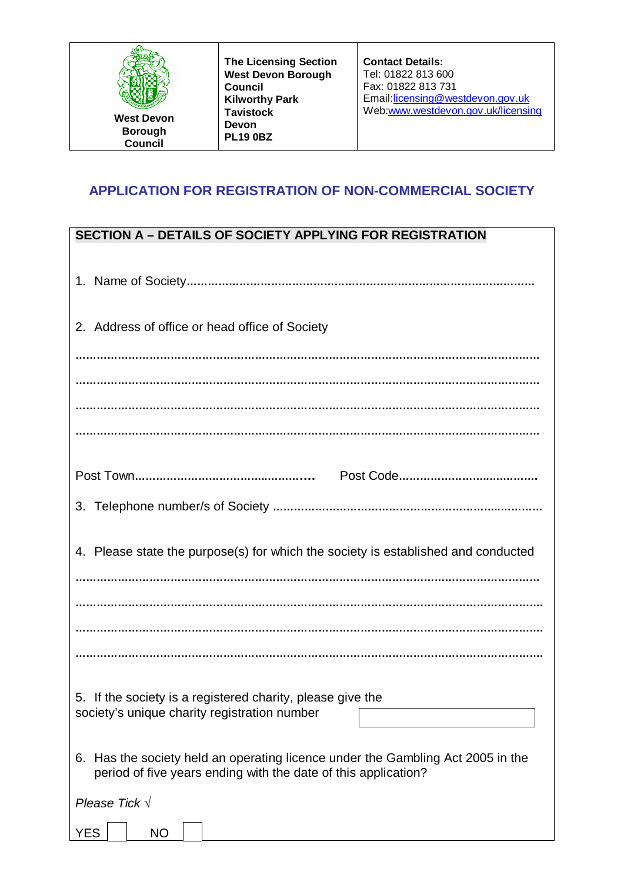| <b>The Licensing Section</b><br><b>West Devon Borough</b><br>Council<br><b>Kilworthy Park</b><br><b>Tavistock</b><br><b>West Devon</b><br><b>Devon</b><br><b>Borough</b><br><b>PL19 0BZ</b><br><b>Council</b> | <b>Contact Details:</b><br>Tel: 01822 813 600<br>Fax: 01822 813 731<br>Email.licensing@westdevon.gov.uk<br>Web:www.westdevon.gov.uk/licensing |
|---------------------------------------------------------------------------------------------------------------------------------------------------------------------------------------------------------------|-----------------------------------------------------------------------------------------------------------------------------------------------|
|---------------------------------------------------------------------------------------------------------------------------------------------------------------------------------------------------------------|-----------------------------------------------------------------------------------------------------------------------------------------------|

## **APPLICATION FOR REGISTRATION OF NON-COMMERCIAL SOCIETY**

| <b>SECTION A - DETAILS OF SOCIETY APPLYING FOR REGISTRATION</b>                                                                                   |
|---------------------------------------------------------------------------------------------------------------------------------------------------|
|                                                                                                                                                   |
| 2. Address of office or head office of Society                                                                                                    |
|                                                                                                                                                   |
|                                                                                                                                                   |
|                                                                                                                                                   |
|                                                                                                                                                   |
|                                                                                                                                                   |
|                                                                                                                                                   |
| 4. Please state the purpose(s) for which the society is established and conducted                                                                 |
|                                                                                                                                                   |
|                                                                                                                                                   |
|                                                                                                                                                   |
| 5. If the society is a registered charity, please give the<br>society's unique charity registration number                                        |
| 6. Has the society held an operating licence under the Gambling Act 2005 in the<br>period of five years ending with the date of this application? |
| Please Tick $\sqrt{ }$                                                                                                                            |
| <b>YES</b><br><b>NO</b>                                                                                                                           |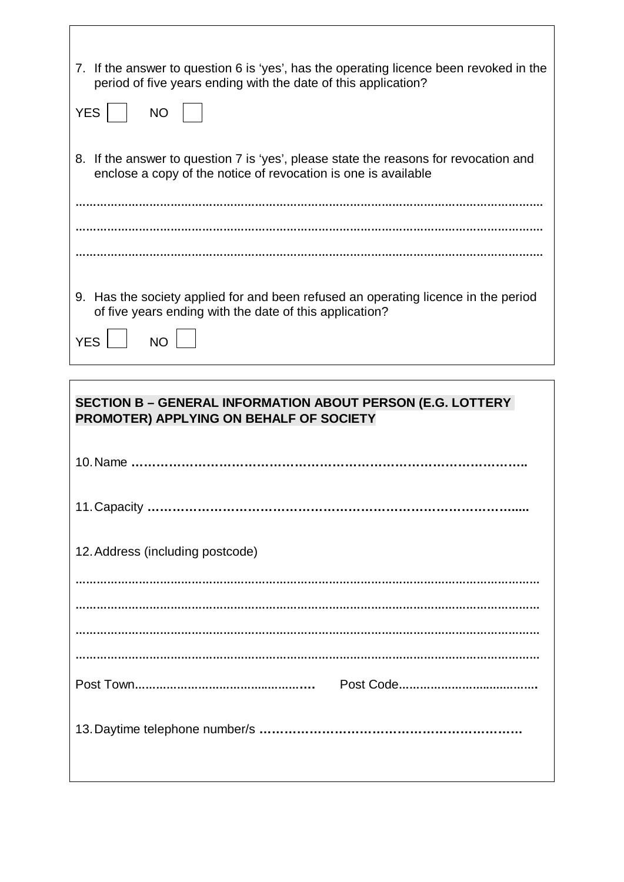| 7. If the answer to question 6 is 'yes', has the operating licence been revoked in the<br>period of five years ending with the date of this application? |
|----------------------------------------------------------------------------------------------------------------------------------------------------------|
| <b>YES</b><br><b>NO</b>                                                                                                                                  |
| 8. If the answer to question 7 is 'yes', please state the reasons for revocation and<br>enclose a copy of the notice of revocation is one is available   |
|                                                                                                                                                          |
|                                                                                                                                                          |
| Has the society applied for and been refused an operating licence in the period<br>9.<br>of five years ending with the date of this application?         |
| <b>YES</b>                                                                                                                                               |

 $\mathsf{l}$ 

 $\Gamma$ 

| <b>SECTION B - GENERAL INFORMATION ABOUT PERSON (E.G. LOTTERY</b><br>PROMOTER) APPLYING ON BEHALF OF SOCIETY |
|--------------------------------------------------------------------------------------------------------------|
|                                                                                                              |
|                                                                                                              |
| 12. Address (including postcode)                                                                             |
|                                                                                                              |
|                                                                                                              |
|                                                                                                              |
|                                                                                                              |
|                                                                                                              |
|                                                                                                              |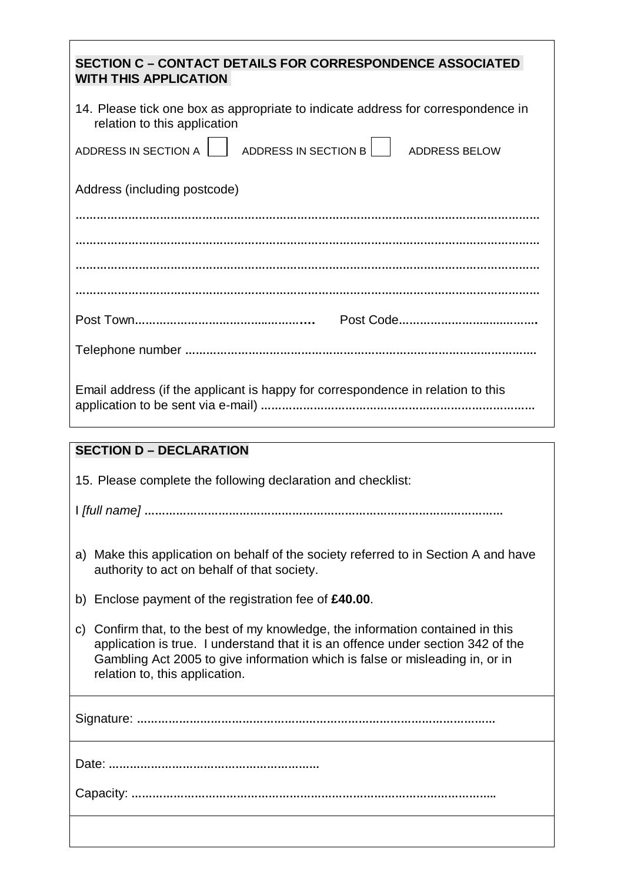| <b>SECTION C - CONTACT DETAILS FOR CORRESPONDENCE ASSOCIATED</b><br><b>WITH THIS APPLICATION</b>                                                                                                                                                                                         |
|------------------------------------------------------------------------------------------------------------------------------------------------------------------------------------------------------------------------------------------------------------------------------------------|
| 14. Please tick one box as appropriate to indicate address for correspondence in<br>relation to this application                                                                                                                                                                         |
| ADDRESS IN SECTION B<br>ADDRESS IN SECTION A<br><b>ADDRESS BELOW</b>                                                                                                                                                                                                                     |
| Address (including postcode)                                                                                                                                                                                                                                                             |
|                                                                                                                                                                                                                                                                                          |
|                                                                                                                                                                                                                                                                                          |
|                                                                                                                                                                                                                                                                                          |
|                                                                                                                                                                                                                                                                                          |
|                                                                                                                                                                                                                                                                                          |
|                                                                                                                                                                                                                                                                                          |
| Email address (if the applicant is happy for correspondence in relation to this                                                                                                                                                                                                          |
| <b>SECTION D - DECLARATION</b>                                                                                                                                                                                                                                                           |
|                                                                                                                                                                                                                                                                                          |
| 15. Please complete the following declaration and checklist:                                                                                                                                                                                                                             |
|                                                                                                                                                                                                                                                                                          |
| Make this application on behalf of the society referred to in Section A and have<br>a)<br>authority to act on behalf of that society.                                                                                                                                                    |
| b) Enclose payment of the registration fee of $£40.00$ .                                                                                                                                                                                                                                 |
| Confirm that, to the best of my knowledge, the information contained in this<br>C)<br>application is true. I understand that it is an offence under section 342 of the<br>Gambling Act 2005 to give information which is false or misleading in, or in<br>relation to, this application. |
|                                                                                                                                                                                                                                                                                          |
|                                                                                                                                                                                                                                                                                          |

Capacity: **…………………………………………………………………………………………..**